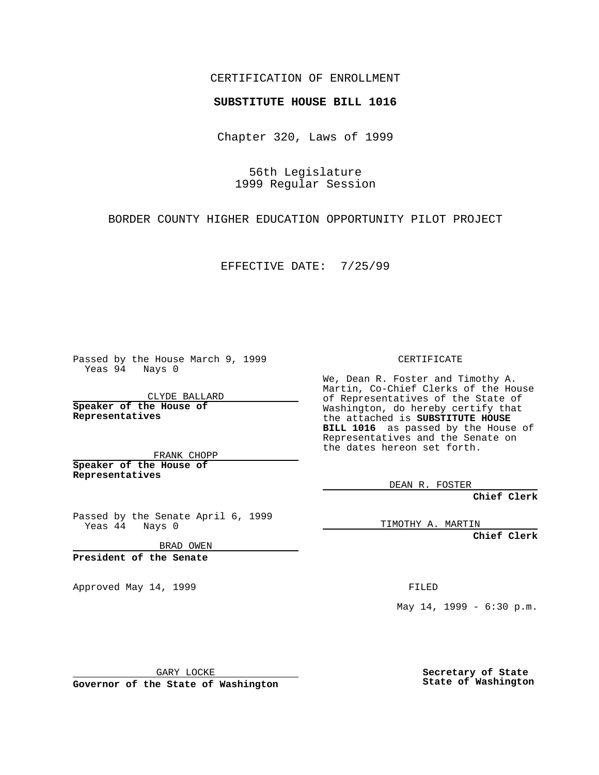## CERTIFICATION OF ENROLLMENT

## **SUBSTITUTE HOUSE BILL 1016**

Chapter 320, Laws of 1999

56th Legislature 1999 Regular Session

BORDER COUNTY HIGHER EDUCATION OPPORTUNITY PILOT PROJECT

EFFECTIVE DATE: 7/25/99

Passed by the House March 9, 1999 Yeas 94 Nays 0

CLYDE BALLARD **Speaker of the House of Representatives**

FRANK CHOPP **Speaker of the House of Representatives**

Passed by the Senate April 6, 1999 Yeas 44 Nays 0

BRAD OWEN

**President of the Senate**

Approved May 14, 1999 **FILED** 

CERTIFICATE

We, Dean R. Foster and Timothy A. Martin, Co-Chief Clerks of the House of Representatives of the State of Washington, do hereby certify that the attached is **SUBSTITUTE HOUSE BILL 1016** as passed by the House of Representatives and the Senate on the dates hereon set forth.

DEAN R. FOSTER

**Chief Clerk**

TIMOTHY A. MARTIN

**Chief Clerk**

May 14, 1999 - 6:30 p.m.

GARY LOCKE

**Governor of the State of Washington**

**Secretary of State State of Washington**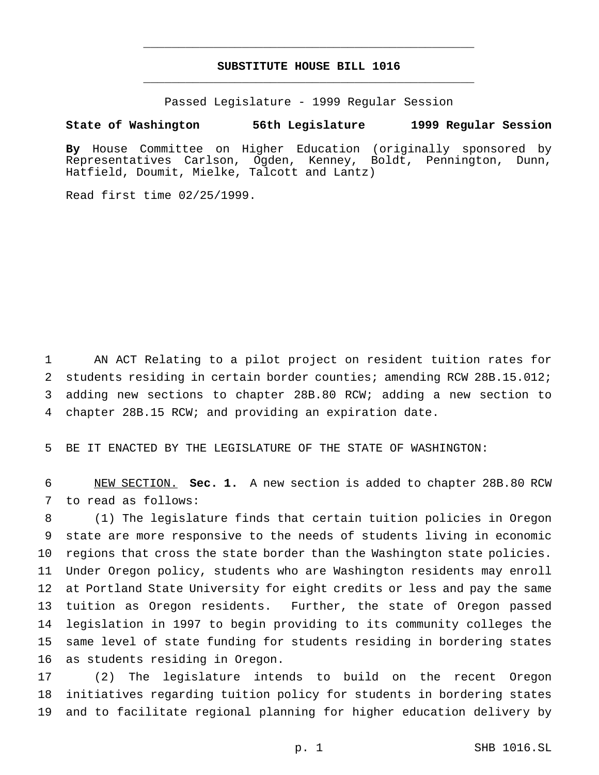## **SUBSTITUTE HOUSE BILL 1016** \_\_\_\_\_\_\_\_\_\_\_\_\_\_\_\_\_\_\_\_\_\_\_\_\_\_\_\_\_\_\_\_\_\_\_\_\_\_\_\_\_\_\_\_\_\_\_

\_\_\_\_\_\_\_\_\_\_\_\_\_\_\_\_\_\_\_\_\_\_\_\_\_\_\_\_\_\_\_\_\_\_\_\_\_\_\_\_\_\_\_\_\_\_\_

Passed Legislature - 1999 Regular Session

## **State of Washington 56th Legislature 1999 Regular Session**

**By** House Committee on Higher Education (originally sponsored by Representatives Carlson, Ogden, Kenney, Boldt, Pennington, Dunn, Hatfield, Doumit, Mielke, Talcott and Lantz)

Read first time 02/25/1999.

 AN ACT Relating to a pilot project on resident tuition rates for students residing in certain border counties; amending RCW 28B.15.012; adding new sections to chapter 28B.80 RCW; adding a new section to chapter 28B.15 RCW; and providing an expiration date.

BE IT ENACTED BY THE LEGISLATURE OF THE STATE OF WASHINGTON:

 NEW SECTION. **Sec. 1.** A new section is added to chapter 28B.80 RCW to read as follows:

 (1) The legislature finds that certain tuition policies in Oregon state are more responsive to the needs of students living in economic regions that cross the state border than the Washington state policies. Under Oregon policy, students who are Washington residents may enroll at Portland State University for eight credits or less and pay the same tuition as Oregon residents. Further, the state of Oregon passed legislation in 1997 to begin providing to its community colleges the same level of state funding for students residing in bordering states as students residing in Oregon.

 (2) The legislature intends to build on the recent Oregon initiatives regarding tuition policy for students in bordering states and to facilitate regional planning for higher education delivery by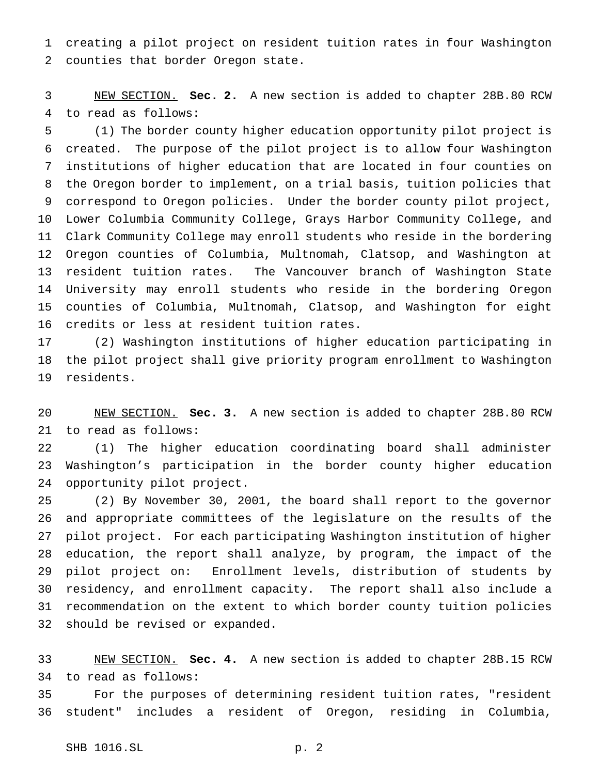creating a pilot project on resident tuition rates in four Washington counties that border Oregon state.

 NEW SECTION. **Sec. 2.** A new section is added to chapter 28B.80 RCW to read as follows:

 (1) The border county higher education opportunity pilot project is created. The purpose of the pilot project is to allow four Washington institutions of higher education that are located in four counties on the Oregon border to implement, on a trial basis, tuition policies that correspond to Oregon policies. Under the border county pilot project, Lower Columbia Community College, Grays Harbor Community College, and Clark Community College may enroll students who reside in the bordering Oregon counties of Columbia, Multnomah, Clatsop, and Washington at resident tuition rates. The Vancouver branch of Washington State University may enroll students who reside in the bordering Oregon counties of Columbia, Multnomah, Clatsop, and Washington for eight credits or less at resident tuition rates.

 (2) Washington institutions of higher education participating in the pilot project shall give priority program enrollment to Washington residents.

 NEW SECTION. **Sec. 3.** A new section is added to chapter 28B.80 RCW to read as follows:

 (1) The higher education coordinating board shall administer Washington's participation in the border county higher education opportunity pilot project.

 (2) By November 30, 2001, the board shall report to the governor and appropriate committees of the legislature on the results of the pilot project. For each participating Washington institution of higher education, the report shall analyze, by program, the impact of the pilot project on: Enrollment levels, distribution of students by residency, and enrollment capacity. The report shall also include a recommendation on the extent to which border county tuition policies should be revised or expanded.

 NEW SECTION. **Sec. 4.** A new section is added to chapter 28B.15 RCW to read as follows:

 For the purposes of determining resident tuition rates, "resident student" includes a resident of Oregon, residing in Columbia,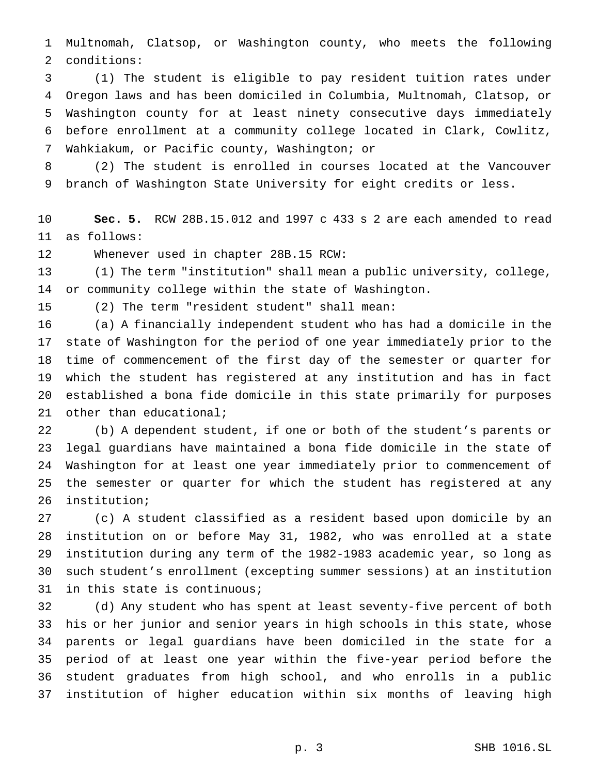Multnomah, Clatsop, or Washington county, who meets the following conditions:

 (1) The student is eligible to pay resident tuition rates under Oregon laws and has been domiciled in Columbia, Multnomah, Clatsop, or Washington county for at least ninety consecutive days immediately before enrollment at a community college located in Clark, Cowlitz, Wahkiakum, or Pacific county, Washington; or

 (2) The student is enrolled in courses located at the Vancouver branch of Washington State University for eight credits or less.

 **Sec. 5.** RCW 28B.15.012 and 1997 c 433 s 2 are each amended to read as follows:

Whenever used in chapter 28B.15 RCW:

 (1) The term "institution" shall mean a public university, college, or community college within the state of Washington.

(2) The term "resident student" shall mean:

 (a) A financially independent student who has had a domicile in the state of Washington for the period of one year immediately prior to the time of commencement of the first day of the semester or quarter for which the student has registered at any institution and has in fact established a bona fide domicile in this state primarily for purposes other than educational;

 (b) A dependent student, if one or both of the student's parents or legal guardians have maintained a bona fide domicile in the state of Washington for at least one year immediately prior to commencement of the semester or quarter for which the student has registered at any institution;

 (c) A student classified as a resident based upon domicile by an institution on or before May 31, 1982, who was enrolled at a state institution during any term of the 1982-1983 academic year, so long as such student's enrollment (excepting summer sessions) at an institution in this state is continuous;

 (d) Any student who has spent at least seventy-five percent of both his or her junior and senior years in high schools in this state, whose parents or legal guardians have been domiciled in the state for a period of at least one year within the five-year period before the student graduates from high school, and who enrolls in a public institution of higher education within six months of leaving high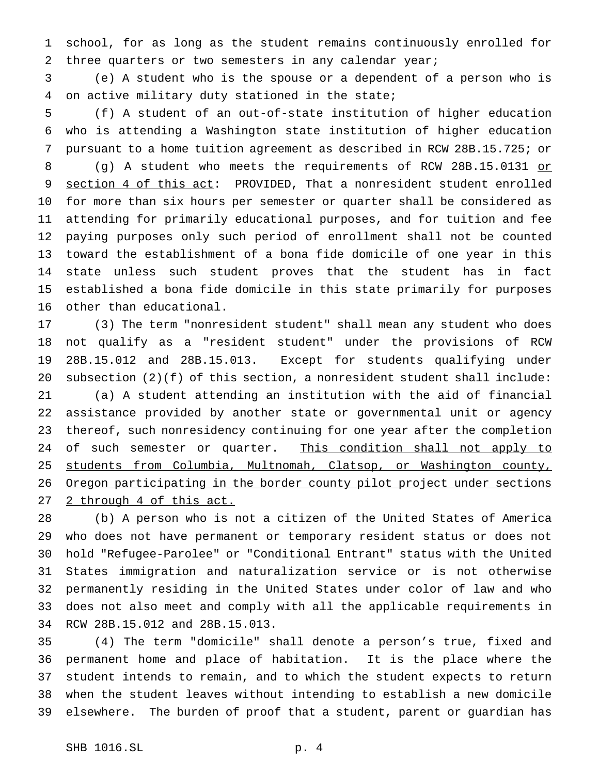school, for as long as the student remains continuously enrolled for 2 three quarters or two semesters in any calendar year;

 (e) A student who is the spouse or a dependent of a person who is on active military duty stationed in the state;

 (f) A student of an out-of-state institution of higher education who is attending a Washington state institution of higher education pursuant to a home tuition agreement as described in RCW 28B.15.725; or

8 (g) A student who meets the requirements of RCW 28B.15.0131 or 9 section 4 of this act: PROVIDED, That a nonresident student enrolled for more than six hours per semester or quarter shall be considered as attending for primarily educational purposes, and for tuition and fee paying purposes only such period of enrollment shall not be counted toward the establishment of a bona fide domicile of one year in this state unless such student proves that the student has in fact established a bona fide domicile in this state primarily for purposes other than educational.

 (3) The term "nonresident student" shall mean any student who does not qualify as a "resident student" under the provisions of RCW 28B.15.012 and 28B.15.013. Except for students qualifying under subsection (2)(f) of this section, a nonresident student shall include: (a) A student attending an institution with the aid of financial assistance provided by another state or governmental unit or agency thereof, such nonresidency continuing for one year after the completion 24 of such semester or quarter. This condition shall not apply to 25 students from Columbia, Multnomah, Clatsop, or Washington county, Oregon participating in the border county pilot project under sections 2 through 4 of this act.

 (b) A person who is not a citizen of the United States of America who does not have permanent or temporary resident status or does not hold "Refugee-Parolee" or "Conditional Entrant" status with the United States immigration and naturalization service or is not otherwise permanently residing in the United States under color of law and who does not also meet and comply with all the applicable requirements in RCW 28B.15.012 and 28B.15.013.

 (4) The term "domicile" shall denote a person's true, fixed and permanent home and place of habitation. It is the place where the student intends to remain, and to which the student expects to return when the student leaves without intending to establish a new domicile elsewhere. The burden of proof that a student, parent or guardian has